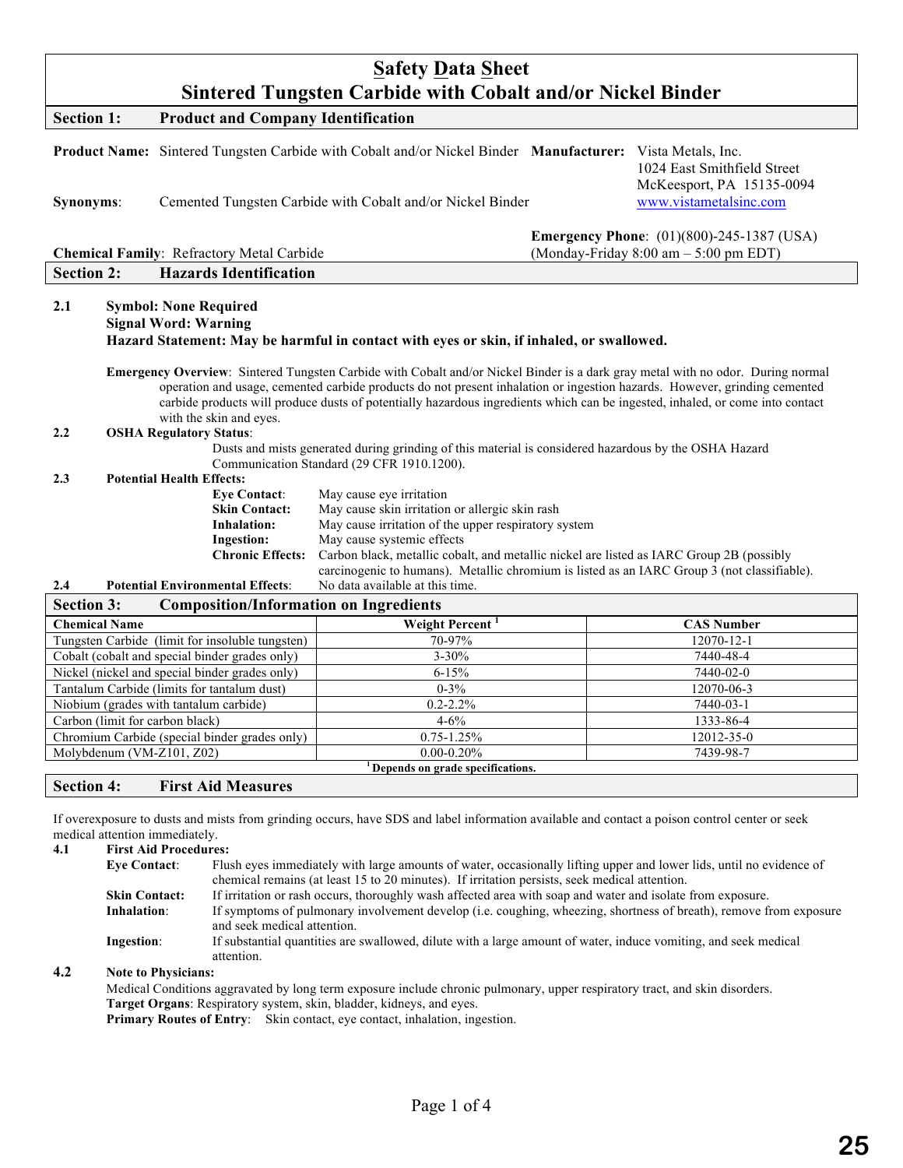| <b>Safety Data Sheet</b><br><b>Sintered Tungsten Carbide with Cobalt and/or Nickel Binder</b>                                                                                                                                                                                                                                                                                                                                                                                                                                                                                                                                                                                                                                                                                                                                                                                                                                                                                                                                                     |                                                                                                                                                                         |                                                                                                                      |  |  |
|---------------------------------------------------------------------------------------------------------------------------------------------------------------------------------------------------------------------------------------------------------------------------------------------------------------------------------------------------------------------------------------------------------------------------------------------------------------------------------------------------------------------------------------------------------------------------------------------------------------------------------------------------------------------------------------------------------------------------------------------------------------------------------------------------------------------------------------------------------------------------------------------------------------------------------------------------------------------------------------------------------------------------------------------------|-------------------------------------------------------------------------------------------------------------------------------------------------------------------------|----------------------------------------------------------------------------------------------------------------------|--|--|
| <b>Product and Company Identification</b><br><b>Section 1:</b>                                                                                                                                                                                                                                                                                                                                                                                                                                                                                                                                                                                                                                                                                                                                                                                                                                                                                                                                                                                    |                                                                                                                                                                         |                                                                                                                      |  |  |
| Synonyms:                                                                                                                                                                                                                                                                                                                                                                                                                                                                                                                                                                                                                                                                                                                                                                                                                                                                                                                                                                                                                                         | Product Name: Sintered Tungsten Carbide with Cobalt and/or Nickel Binder Manufacturer: Vista Metals, Inc.<br>Cemented Tungsten Carbide with Cobalt and/or Nickel Binder | 1024 East Smithfield Street<br>McKeesport, PA 15135-0094<br>www.vistametalsinc.com                                   |  |  |
| <b>Chemical Family: Refractory Metal Carbide</b>                                                                                                                                                                                                                                                                                                                                                                                                                                                                                                                                                                                                                                                                                                                                                                                                                                                                                                                                                                                                  |                                                                                                                                                                         | <b>Emergency Phone:</b> (01)(800)-245-1387 (USA)<br>(Monday-Friday $8:00 \text{ am} - 5:00 \text{ pm} \text{ EDT}$ ) |  |  |
| <b>Section 2:</b><br><b>Hazards Identification</b>                                                                                                                                                                                                                                                                                                                                                                                                                                                                                                                                                                                                                                                                                                                                                                                                                                                                                                                                                                                                |                                                                                                                                                                         |                                                                                                                      |  |  |
| 2.1<br><b>Symbol: None Required</b><br><b>Signal Word: Warning</b><br>Hazard Statement: May be harmful in contact with eyes or skin, if inhaled, or swallowed.<br>Emergency Overview: Sintered Tungsten Carbide with Cobalt and/or Nickel Binder is a dark gray metal with no odor. During normal<br>operation and usage, cemented carbide products do not present inhalation or ingestion hazards. However, grinding cemented<br>carbide products will produce dusts of potentially hazardous ingredients which can be ingested, inhaled, or come into contact<br>with the skin and eyes.<br>2.2<br><b>OSHA Regulatory Status:</b><br>Dusts and mists generated during grinding of this material is considered hazardous by the OSHA Hazard<br>Communication Standard (29 CFR 1910.1200).<br><b>Potential Health Effects:</b><br>2.3<br><b>Eve Contact:</b><br>May cause eye irritation<br>May cause skin irritation or allergic skin rash<br><b>Skin Contact:</b><br>May cause irritation of the upper respiratory system<br><b>Inhalation:</b> |                                                                                                                                                                         |                                                                                                                      |  |  |
| <b>Ingestion:</b>                                                                                                                                                                                                                                                                                                                                                                                                                                                                                                                                                                                                                                                                                                                                                                                                                                                                                                                                                                                                                                 | May cause systemic effects                                                                                                                                              |                                                                                                                      |  |  |
| <b>Chronic Effects:</b>                                                                                                                                                                                                                                                                                                                                                                                                                                                                                                                                                                                                                                                                                                                                                                                                                                                                                                                                                                                                                           | Carbon black, metallic cobalt, and metallic nickel are listed as IARC Group 2B (possibly                                                                                |                                                                                                                      |  |  |
| 2.4<br><b>Potential Environmental Effects:</b>                                                                                                                                                                                                                                                                                                                                                                                                                                                                                                                                                                                                                                                                                                                                                                                                                                                                                                                                                                                                    | carcinogenic to humans). Metallic chromium is listed as an IARC Group 3 (not classifiable).<br>No data available at this time.                                          |                                                                                                                      |  |  |
| <b>Section 3:</b><br><b>Composition/Information on Ingredients</b>                                                                                                                                                                                                                                                                                                                                                                                                                                                                                                                                                                                                                                                                                                                                                                                                                                                                                                                                                                                |                                                                                                                                                                         |                                                                                                                      |  |  |
| <b>Chemical Name</b>                                                                                                                                                                                                                                                                                                                                                                                                                                                                                                                                                                                                                                                                                                                                                                                                                                                                                                                                                                                                                              | Weight Percent <sup>1</sup>                                                                                                                                             | <b>CAS Number</b>                                                                                                    |  |  |
| Tungsten Carbide (limit for insoluble tungsten)                                                                                                                                                                                                                                                                                                                                                                                                                                                                                                                                                                                                                                                                                                                                                                                                                                                                                                                                                                                                   | 70-97%                                                                                                                                                                  | 12070-12-1                                                                                                           |  |  |
| Cobalt (cobalt and special binder grades only)                                                                                                                                                                                                                                                                                                                                                                                                                                                                                                                                                                                                                                                                                                                                                                                                                                                                                                                                                                                                    | $3 - 30%$                                                                                                                                                               | 7440-48-4                                                                                                            |  |  |
| Nickel (nickel and special binder grades only)                                                                                                                                                                                                                                                                                                                                                                                                                                                                                                                                                                                                                                                                                                                                                                                                                                                                                                                                                                                                    | $6 - 15%$                                                                                                                                                               | 7440-02-0                                                                                                            |  |  |
| Tantalum Carbide (limits for tantalum dust)                                                                                                                                                                                                                                                                                                                                                                                                                                                                                                                                                                                                                                                                                                                                                                                                                                                                                                                                                                                                       | $0 - 3\%$                                                                                                                                                               | 12070-06-3                                                                                                           |  |  |
| Niobium (grades with tantalum carbide)                                                                                                                                                                                                                                                                                                                                                                                                                                                                                                                                                                                                                                                                                                                                                                                                                                                                                                                                                                                                            | $0.2 - 2.2%$                                                                                                                                                            | 7440-03-1                                                                                                            |  |  |
| $4 - 6\%$<br>1333-86-4<br>Carbon (limit for carbon black)                                                                                                                                                                                                                                                                                                                                                                                                                                                                                                                                                                                                                                                                                                                                                                                                                                                                                                                                                                                         |                                                                                                                                                                         |                                                                                                                      |  |  |
| Chromium Carbide (special binder grades only)                                                                                                                                                                                                                                                                                                                                                                                                                                                                                                                                                                                                                                                                                                                                                                                                                                                                                                                                                                                                     | $0.75 - 1.25%$<br>$0.00 - 0.20\%$                                                                                                                                       | 12012-35-0<br>7439-98-7                                                                                              |  |  |
| Molybdenum (VM-Z101, Z02)                                                                                                                                                                                                                                                                                                                                                                                                                                                                                                                                                                                                                                                                                                                                                                                                                                                                                                                                                                                                                         |                                                                                                                                                                         |                                                                                                                      |  |  |

**1 Depends on grade specifications.**

## **Section 4: First Aid Measures**

If overexposure to dusts and mists from grinding occurs, have SDS and label information available and contact a poison control center or seek medical attention immediately.

**4.1 First Aid Procedures: Eye Contact**: Flush eyes immediately with large amounts of water, occasionally lifting upper and lower lids, until no evidence of chemical remains (at least 15 to 20 minutes). If irritation persists, seek medical attention. **Skin Contact:** If irritation or rash occurs, thoroughly wash affected area with soap and water and isolate from exposure. **Inhalation**: If symptoms of pulmonary involvement develop (i.e. coughing, wheezing, shortness of breath), remove from exposure and seek medical attention. **Ingestion**: If substantial quantities are swallowed, dilute with a large amount of water, induce vomiting, and seek medical attention.

### **4.2 Note to Physicians:**

Medical Conditions aggravated by long term exposure include chronic pulmonary, upper respiratory tract, and skin disorders. **Target Organs**: Respiratory system, skin, bladder, kidneys, and eyes. **Primary Routes of Entry:** Skin contact, eye contact, inhalation, ingestion.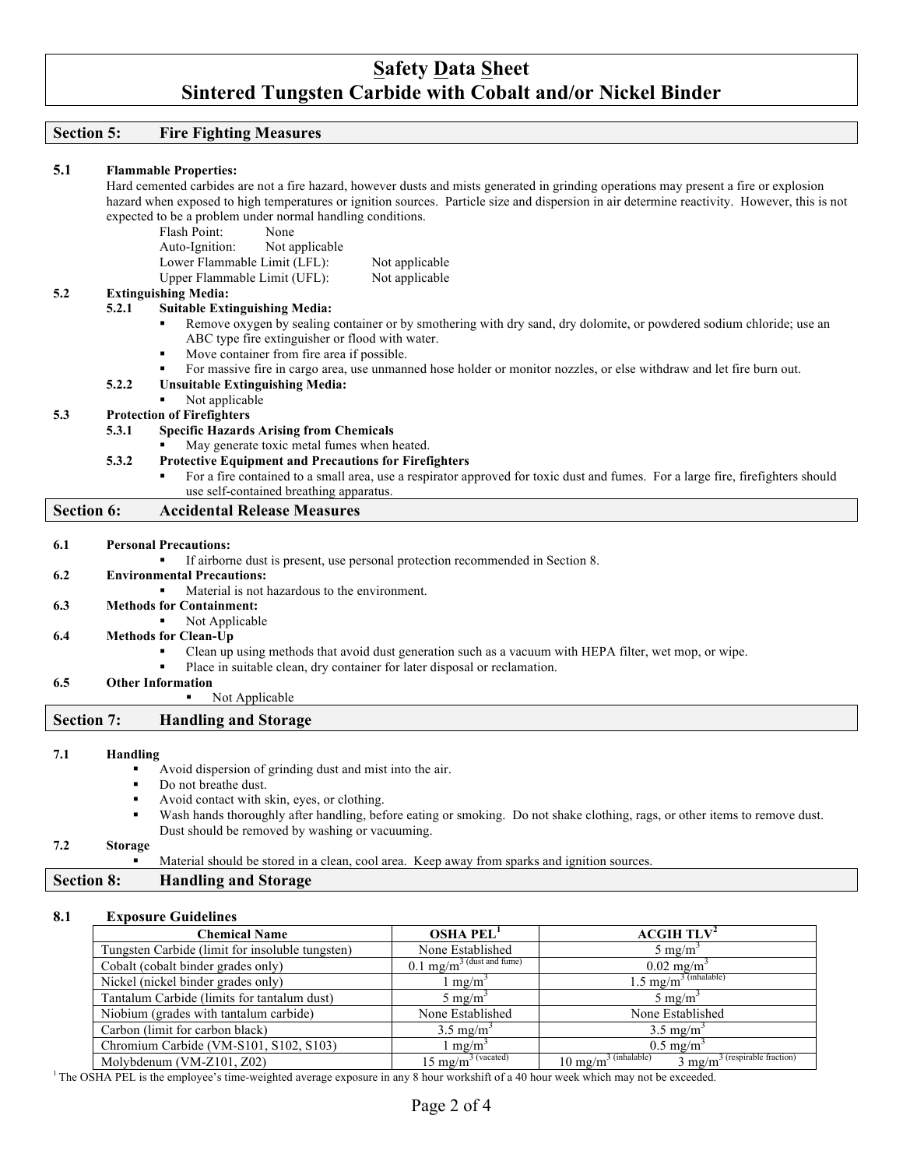# **Safety Data Sheet Sintered Tungsten Carbide with Cobalt and/or Nickel Binder**

## **Section 5: Fire Fighting Measures**

| 5.1               |                                                                                                                                              | <b>Flammable Properties:</b>                                                                                                          |  |
|-------------------|----------------------------------------------------------------------------------------------------------------------------------------------|---------------------------------------------------------------------------------------------------------------------------------------|--|
|                   | Hard cemented carbides are not a fire hazard, however dusts and mists generated in grinding operations may present a fire or explosion       |                                                                                                                                       |  |
|                   | hazard when exposed to high temperatures or ignition sources. Particle size and dispersion in air determine reactivity. However, this is not |                                                                                                                                       |  |
|                   |                                                                                                                                              | expected to be a problem under normal handling conditions.                                                                            |  |
|                   |                                                                                                                                              | Flash Point:<br>None                                                                                                                  |  |
|                   |                                                                                                                                              | Auto-Ignition:<br>Not applicable                                                                                                      |  |
|                   |                                                                                                                                              | Lower Flammable Limit (LFL):<br>Not applicable                                                                                        |  |
|                   |                                                                                                                                              | Upper Flammable Limit (UFL):<br>Not applicable                                                                                        |  |
| 5.2               |                                                                                                                                              | <b>Extinguishing Media:</b>                                                                                                           |  |
|                   | 5.2.1                                                                                                                                        | <b>Suitable Extinguishing Media:</b>                                                                                                  |  |
|                   |                                                                                                                                              | Remove oxygen by sealing container or by smothering with dry sand, dry dolomite, or powdered sodium chloride; use an                  |  |
|                   |                                                                                                                                              | ABC type fire extinguisher or flood with water.                                                                                       |  |
|                   |                                                                                                                                              | Move container from fire area if possible.<br>$\blacksquare$                                                                          |  |
|                   |                                                                                                                                              | For massive fire in cargo area, use unmanned hose holder or monitor nozzles, or else withdraw and let fire burn out.<br>٠             |  |
|                   | 5.2.2                                                                                                                                        | <b>Unsuitable Extinguishing Media:</b>                                                                                                |  |
|                   |                                                                                                                                              | Not applicable                                                                                                                        |  |
| 5.3               |                                                                                                                                              | <b>Protection of Firefighters</b>                                                                                                     |  |
|                   | 5.3.1                                                                                                                                        | <b>Specific Hazards Arising from Chemicals</b>                                                                                        |  |
|                   |                                                                                                                                              | May generate toxic metal fumes when heated.                                                                                           |  |
|                   | 5.3.2                                                                                                                                        | <b>Protective Equipment and Precautions for Firefighters</b>                                                                          |  |
|                   |                                                                                                                                              | For a fire contained to a small area, use a respirator approved for toxic dust and fumes. For a large fire, firefighters should<br>٠, |  |
|                   |                                                                                                                                              | use self-contained breathing apparatus.                                                                                               |  |
| <b>Section 6:</b> |                                                                                                                                              | <b>Accidental Release Measures</b>                                                                                                    |  |
|                   |                                                                                                                                              |                                                                                                                                       |  |
| 6.1               |                                                                                                                                              | <b>Personal Precautions:</b>                                                                                                          |  |
|                   |                                                                                                                                              | If airborne dust is present, use personal protection recommended in Section 8.                                                        |  |
| 6.2               |                                                                                                                                              | <b>Environmental Precautions:</b>                                                                                                     |  |
|                   |                                                                                                                                              | Material is not hazardous to the environment.                                                                                         |  |
| 6.3               |                                                                                                                                              | <b>Methods for Containment:</b><br>٠                                                                                                  |  |
|                   |                                                                                                                                              | Not Applicable                                                                                                                        |  |
| 6.4               |                                                                                                                                              | <b>Methods for Clean-Up</b>                                                                                                           |  |
|                   |                                                                                                                                              | Clean up using methods that avoid dust generation such as a vacuum with HEPA filter, wet mop, or wipe.                                |  |
|                   |                                                                                                                                              | Place in suitable clean, dry container for later disposal or reclamation.                                                             |  |
| 6.5               |                                                                                                                                              | <b>Other Information</b><br>٠<br>Not Applicable                                                                                       |  |
| <b>Section 7:</b> |                                                                                                                                              | <b>Handling and Storage</b>                                                                                                           |  |
|                   |                                                                                                                                              |                                                                                                                                       |  |
| 7.1               | Handling                                                                                                                                     |                                                                                                                                       |  |
|                   |                                                                                                                                              | Avoid dispersion of grinding dust and mist into the air.                                                                              |  |
|                   | ٠                                                                                                                                            | Do not breathe dust.                                                                                                                  |  |
|                   | ٠                                                                                                                                            | Avoid contact with skin, eyes, or clothing.                                                                                           |  |
|                   | $\blacksquare$                                                                                                                               | Wash hands thoroughly after handling, before eating or smoking. Do not shake clothing, rags, or other items to remove dust.           |  |
|                   |                                                                                                                                              | Dust should be removed by washing or vacuuming.                                                                                       |  |
|                   |                                                                                                                                              |                                                                                                                                       |  |
| 7.2               | Storage                                                                                                                                      |                                                                                                                                       |  |
|                   | ٠                                                                                                                                            | Material should be stored in a clean, cool area. Keep away from sparks and ignition sources.                                          |  |

## **8.1 Exposure Guidelines**

| <b>Chemical Name</b>                            | <b>OSHA PEL</b>                         | ACGIH TLV <sup>2</sup>                                                      |
|-------------------------------------------------|-----------------------------------------|-----------------------------------------------------------------------------|
| Tungsten Carbide (limit for insoluble tungsten) | None Established                        | $5 \text{ mg/m}^3$                                                          |
| Cobalt (cobalt binder grades only)              | $0.1$ mg/m <sup>3</sup> (dust and fume) | $0.02 \text{ mg/m}^3$                                                       |
| Nickel (nickel binder grades only)              | $\lfloor$ mg/m <sup>3</sup>             | $1.5 \text{ mg/m}^3$ (inhalable)                                            |
| Tantalum Carbide (limits for tantalum dust)     | $5 \text{ mg/m}^3$                      | $5 \text{ mg/m}^3$                                                          |
| Niobium (grades with tantalum carbide)          | None Established                        | None Established                                                            |
| Carbon (limit for carbon black)                 | $3.5 \text{ mg/m}^3$                    | $3.5 \text{ mg/m}^3$                                                        |
| Chromium Carbide (VM-S101, S102, S103)          | $m\Omega/m^3$                           | $0.5 \text{ mg/m}^3$                                                        |
| Molybdenum (VM-Z101, Z02)                       | $15 \text{ mg/m}^3$ (vacated)           | $10 \text{ mg/m}^3$ (inhalable)<br>$3 \text{ mg/m}^3$ (respirable fraction) |

<sup>1</sup> The OSHA PEL is the employee's time-weighted average exposure in any 8 hour workshift of a 40 hour week which may not be exceeded.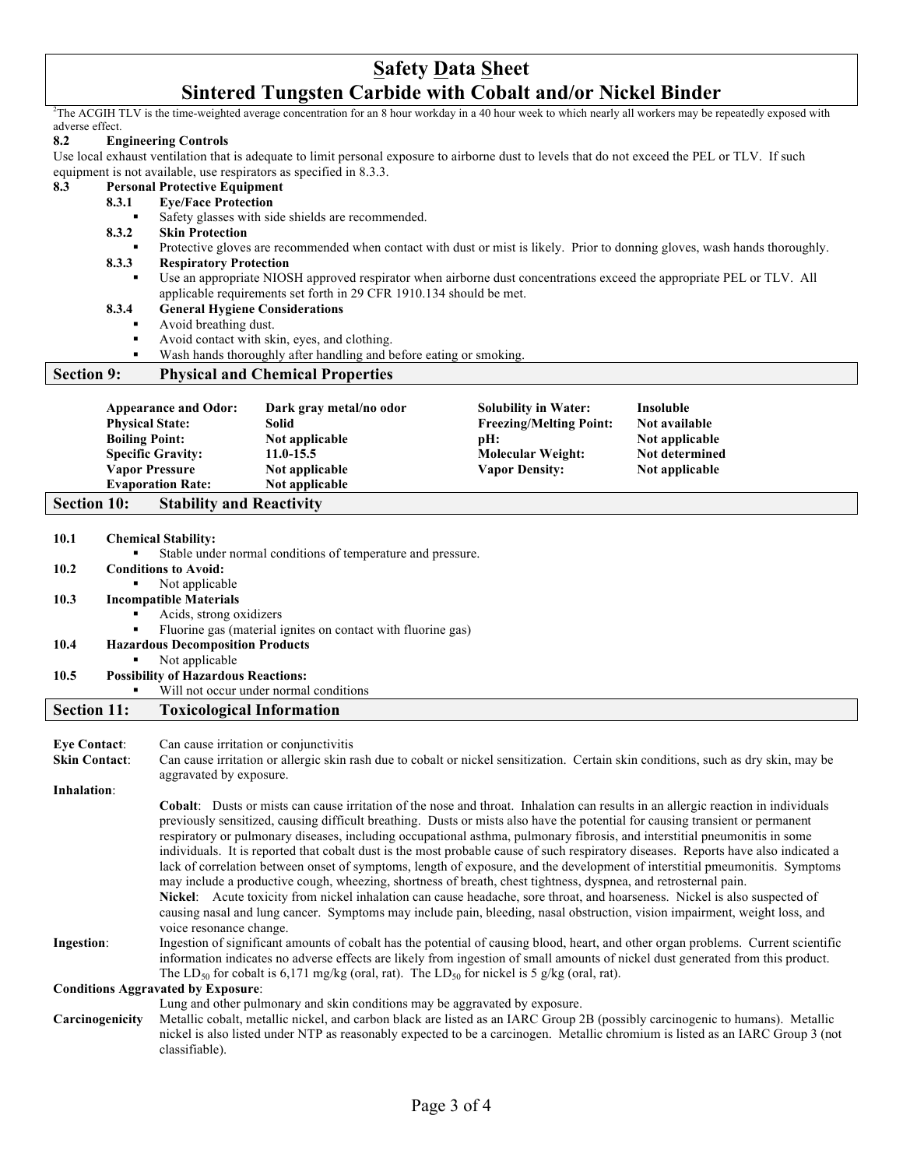## **Safety Data Sheet Sintered Tungsten Carbide with Cobalt and/or Nickel Binder**

<sup>2</sup>The ACGIH TLV is the time-weighted average concentration for an 8 hour workday in a 40 hour week to which nearly all workers may be repeatedly exposed with adverse effect.

#### **8.2 Engineering Controls**

Use local exhaust ventilation that is adequate to limit personal exposure to airborne dust to levels that do not exceed the PEL or TLV. If such equipment is not available, use respirators as specified in 8.3.3.

#### **8.3 Personal Protective Equipment**

#### **8.3.1 Eye/Face Protection**

Safety glasses with side shields are recommended.

#### **8.3.2 Skin Protection**

- ! Protective gloves are recommended when contact with dust or mist is likely. Prior to donning gloves, wash hands thoroughly.
- **8.3.3 Respiratory Protection**
	- ! Use an appropriate NIOSH approved respirator when airborne dust concentrations exceed the appropriate PEL or TLV. All applicable requirements set forth in 29 CFR 1910.134 should be met.

#### **8.3.4 General Hygiene Considerations**

- Avoid breathing dust.
- ! Avoid contact with skin, eyes, and clothing.
- Wash hands thoroughly after handling and before eating or smoking.

#### **Section 9: Physical and Chemical Properties**

| <b>Appearance and Odor:</b> | Dark gray metal/no odor | <b>Solubility in Water:</b>    | Insoluble      |
|-----------------------------|-------------------------|--------------------------------|----------------|
| <b>Physical State:</b>      | <b>Solid</b>            | <b>Freezing/Melting Point:</b> | Not available  |
| <b>Boiling Point:</b>       | Not applicable          | $pH$ :                         | Not applicable |
| <b>Specific Gravity:</b>    | $11.0 - 15.5$           | <b>Molecular Weight:</b>       | Not determined |
| <b>Vapor Pressure</b>       | Not applicable          | <b>Vapor Density:</b>          | Not applicable |
| <b>Evaporation Rate:</b>    | Not applicable          |                                |                |

# **Section 10: Stability and Reactivity**

| 10.1                 | <b>Chemical Stability:</b>                |                                                                                                                                                                                                                                                                                                                                                                                                                                                                                                                                                                                                                                                                                                                                                                                                                                                                                                                                                                                                                                                                                   |  |  |
|----------------------|-------------------------------------------|-----------------------------------------------------------------------------------------------------------------------------------------------------------------------------------------------------------------------------------------------------------------------------------------------------------------------------------------------------------------------------------------------------------------------------------------------------------------------------------------------------------------------------------------------------------------------------------------------------------------------------------------------------------------------------------------------------------------------------------------------------------------------------------------------------------------------------------------------------------------------------------------------------------------------------------------------------------------------------------------------------------------------------------------------------------------------------------|--|--|
|                      |                                           | Stable under normal conditions of temperature and pressure.                                                                                                                                                                                                                                                                                                                                                                                                                                                                                                                                                                                                                                                                                                                                                                                                                                                                                                                                                                                                                       |  |  |
| 10.2                 |                                           | <b>Conditions to Avoid:</b>                                                                                                                                                                                                                                                                                                                                                                                                                                                                                                                                                                                                                                                                                                                                                                                                                                                                                                                                                                                                                                                       |  |  |
|                      | $\blacksquare$                            | Not applicable                                                                                                                                                                                                                                                                                                                                                                                                                                                                                                                                                                                                                                                                                                                                                                                                                                                                                                                                                                                                                                                                    |  |  |
| 10.3                 | <b>Incompatible Materials</b>             |                                                                                                                                                                                                                                                                                                                                                                                                                                                                                                                                                                                                                                                                                                                                                                                                                                                                                                                                                                                                                                                                                   |  |  |
|                      | $\blacksquare$                            | Acids, strong oxidizers                                                                                                                                                                                                                                                                                                                                                                                                                                                                                                                                                                                                                                                                                                                                                                                                                                                                                                                                                                                                                                                           |  |  |
|                      | $\blacksquare$                            | Fluorine gas (material ignites on contact with fluorine gas)                                                                                                                                                                                                                                                                                                                                                                                                                                                                                                                                                                                                                                                                                                                                                                                                                                                                                                                                                                                                                      |  |  |
| 10.4                 |                                           | <b>Hazardous Decomposition Products</b>                                                                                                                                                                                                                                                                                                                                                                                                                                                                                                                                                                                                                                                                                                                                                                                                                                                                                                                                                                                                                                           |  |  |
|                      |                                           | Not applicable                                                                                                                                                                                                                                                                                                                                                                                                                                                                                                                                                                                                                                                                                                                                                                                                                                                                                                                                                                                                                                                                    |  |  |
| 10.5                 |                                           | <b>Possibility of Hazardous Reactions:</b>                                                                                                                                                                                                                                                                                                                                                                                                                                                                                                                                                                                                                                                                                                                                                                                                                                                                                                                                                                                                                                        |  |  |
|                      |                                           | Will not occur under normal conditions                                                                                                                                                                                                                                                                                                                                                                                                                                                                                                                                                                                                                                                                                                                                                                                                                                                                                                                                                                                                                                            |  |  |
| <b>Section 11:</b>   |                                           | <b>Toxicological Information</b>                                                                                                                                                                                                                                                                                                                                                                                                                                                                                                                                                                                                                                                                                                                                                                                                                                                                                                                                                                                                                                                  |  |  |
|                      |                                           |                                                                                                                                                                                                                                                                                                                                                                                                                                                                                                                                                                                                                                                                                                                                                                                                                                                                                                                                                                                                                                                                                   |  |  |
| <b>Eye Contact:</b>  |                                           | Can cause irritation or conjunctivitis                                                                                                                                                                                                                                                                                                                                                                                                                                                                                                                                                                                                                                                                                                                                                                                                                                                                                                                                                                                                                                            |  |  |
| <b>Skin Contact:</b> |                                           | Can cause irritation or allergic skin rash due to cobalt or nickel sensitization. Certain skin conditions, such as dry skin, may be<br>aggravated by exposure.                                                                                                                                                                                                                                                                                                                                                                                                                                                                                                                                                                                                                                                                                                                                                                                                                                                                                                                    |  |  |
| Inhalation:          |                                           |                                                                                                                                                                                                                                                                                                                                                                                                                                                                                                                                                                                                                                                                                                                                                                                                                                                                                                                                                                                                                                                                                   |  |  |
|                      |                                           | Cobalt: Dusts or mists can cause irritation of the nose and throat. Inhalation can results in an allergic reaction in individuals<br>previously sensitized, causing difficult breathing. Dusts or mists also have the potential for causing transient or permanent<br>respiratory or pulmonary diseases, including occupational asthma, pulmonary fibrosis, and interstitial pneumonitis in some<br>individuals. It is reported that cobalt dust is the most probable cause of such respiratory diseases. Reports have also indicated a<br>lack of correlation between onset of symptoms, length of exposure, and the development of interstitial pmeumonitis. Symptoms<br>may include a productive cough, wheezing, shortness of breath, chest tightness, dyspnea, and retrosternal pain.<br>Nickel: Acute toxicity from nickel inhalation can cause headache, sore throat, and hoarseness. Nickel is also suspected of<br>causing nasal and lung cancer. Symptoms may include pain, bleeding, nasal obstruction, vision impairment, weight loss, and<br>voice resonance change. |  |  |
| Ingestion:           |                                           | Ingestion of significant amounts of cobalt has the potential of causing blood, heart, and other organ problems. Current scientific<br>information indicates no adverse effects are likely from ingestion of small amounts of nickel dust generated from this product.<br>The LD <sub>50</sub> for cobalt is 6,171 mg/kg (oral, rat). The LD <sub>50</sub> for nickel is 5 g/kg (oral, rat).                                                                                                                                                                                                                                                                                                                                                                                                                                                                                                                                                                                                                                                                                       |  |  |
|                      | <b>Conditions Aggravated by Exposure:</b> |                                                                                                                                                                                                                                                                                                                                                                                                                                                                                                                                                                                                                                                                                                                                                                                                                                                                                                                                                                                                                                                                                   |  |  |
|                      |                                           | Lung and other pulmonary and skin conditions may be aggravated by exposure.                                                                                                                                                                                                                                                                                                                                                                                                                                                                                                                                                                                                                                                                                                                                                                                                                                                                                                                                                                                                       |  |  |
|                      | Carcinogenicity                           | Metallic cobalt, metallic nickel, and carbon black are listed as an IARC Group 2B (possibly carcinogenic to humans). Metallic<br>nickel is also listed under NTP as reasonably expected to be a carcinogen. Metallic chromium is listed as an IARC Group 3 (not<br>classifiable).                                                                                                                                                                                                                                                                                                                                                                                                                                                                                                                                                                                                                                                                                                                                                                                                 |  |  |